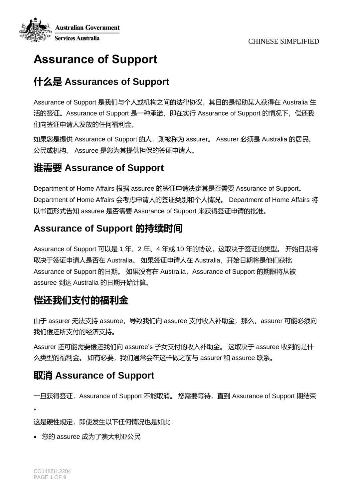

# **Assurance of Support**

## **什么是 Assurances of Support**

Assurance of Support 是我们与个人或机构之间的法律协议,其目的是帮助某人获得在 Australia 生 活的签证。Assurance of Support 是一种承诺, 即在实行 Assurance of Support 的情况下, 偿还我 们向签证申请人发放的任何福利金。

如果您是提供 Assurance of Support 的人,则被称为 assurer。 Assurer 必须是 Australia 的居民、 公民或机构。 Assuree 是您为其提供担保的签证申请人。

### **谁需要 Assurance of Support**

Department of Home Affairs 根据 assuree 的签证申请决定其是否需要 Assurance of Support。 Department of Home Affairs 会考虑申请人的签证类别和个人情况。 Department of Home Affairs 将 以书面形式告知 assuree 是否需要 Assurance of Support 来获得签证申请的批准。

## **Assurance of Support 的持续时间**

Assurance of Support 可以是 1 年、2 年、4 年或 10 年的协议, 这取决于签证的类型。 开始日期将 取决于签证申请人是否在 Australia。 如果签证申请人在 Australia,开始日期将是他们获批 Assurance of Support 的日期。如果没有在 Australia, Assurance of Support 的期限将从被 assuree 到达 Australia 的日期开始计算。

## **偿还我们支付的福利金**

由于 assurer 无法支持 assuree, 导致我们向 assuree 支付收入补助金, 那么, assurer 可能必须向 我们偿还所支付的经济支持。

Assurer 还可能需要偿还我们向 assuree's 子女支付的收入补助金。 这取决于 assuree 收到的是什 么类型的福利金。如有必要,我们通常会在这样做之前与 assurer 和 assuree 联系。

### **取消 Assurance of Support**

一旦获得签证, Assurance of Support 不能取消。 您需要等待, 直到 Assurance of Support 期结束

。

这是硬性规定,即使发生以下任何情况也是如此:

• 您的 assuree 成为了澳大利亚公民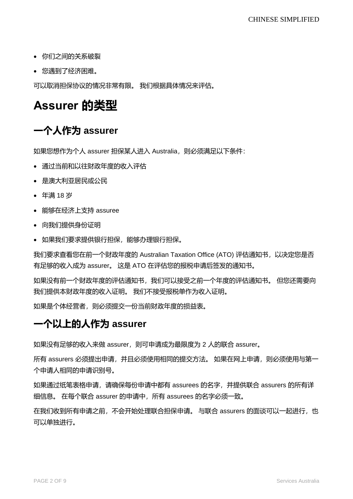- 你们之间的关系破裂
- 您遇到了经济困难。

可以取消担保协议的情况非常有限。 我们根据具体情况来评估。

# **Assurer 的类型**

## **一个人作为 assurer**

如果您想作为个人 assurer 担保某人讲入 Australia, 则必须满足以下条件:

- 通过当前和以往财政年度的收入评估
- 是澳大利亚居民或公民
- 年满 18 岁
- 能够在经济上支持 assuree
- 向我们提供身份证明
- 如果我们要求提供银行担保,能够办理银行担保。

我们要求查看您在前一个财政年度的 Australian Taxation Office (ATO) 评估通知书,以决定您是否 有足够的收入成为 assurer。 这是 ATO 在评估您的报税申请后签发的通知书。

如果没有前一个财政年度的评估通知书,我们可以接受之前一个年度的评估通知书。 但您还需要向 我们提供本财政年度的收入证明。 我们不接受报税单作为收入证明。

如果是个体经营者,则必须提交一份当前财政年度的损益表。

#### **一个以上的人作为 assurer**

如果没有足够的收入来做 assurer, 则可申请成为最限度为 2 人的联合 assurer。

所有 assurers 必须提出申请, 并且必须使用相同的提交方法。 如果在网上申请, 则必须使用与第一 个申请人相同的申请识别号。

如果通过纸笔表格申请,请确保每份申请中都有 assurees 的名字,并提供联合 assurers 的所有详 细信息。 在每个联合 assurer 的申请中,所有 assurees 的名字必须一致。

在我们收到所有申请之前,不会开始处理联合担保申请。 与联合 assurers 的面谈可以一起进行, 也 可以单独进行。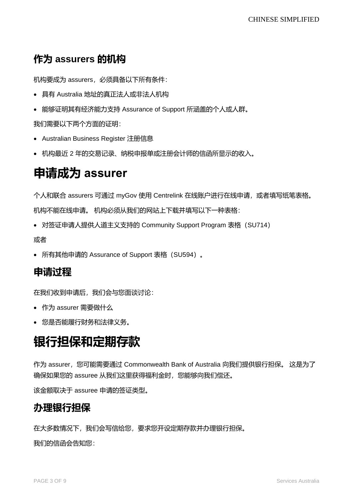## **作为 assurers 的机构**

机构要成为 assurers,必须具备以下所有条件:

- 具有 Australia 地址的真正法人或非法人机构
- 能够证明其有经济能力支持 Assurance of Support 所涵盖的个人或人群。

我们需要以下两个方面的证明:

- Australian Business Register 注册信息
- 机构最近 2 年的交易记录、纳税申报单或注册会计师的信函所显示的收入。

# **申请成为 assurer**

个人和联合 assurers 可通过 myGov 使用 Centrelink 在线账户进行在线申请, 或者填写纸笔表格。 机构不能在线申请。 机构必须从我们的网站上下载并填写以下一种表格:

• 对签证申请人提供人道主义支持的 Community Support Program 表格 (SU714)

或者

• 所有其他申请的 Assurance of Support 表格(SU594)。

#### **申请过程**

在我们收到申请后,我们会与您面谈讨论:

- 作为 assurer 需要做什么
- 您是否能履行财务和法律义务。

# **银行担保和定期存款**

作为 assurer,您可能需要通过 Commonwealth Bank of Australia 向我们提[供银行担保。](https://www.servicesaustralia.gov.au/bank-guarantee-for-assurance-support?context=22051) 这是为了 确保如果您的 assuree 从我们这里获得福利金时, 您能够向我们偿还。

该金额取决于 assuree 申请的签证类型。

#### **办理银行担保**

在大多数情况下,我们会写信给您,要求您开设定期存款并办理银行担保。 我们的信函会告知您: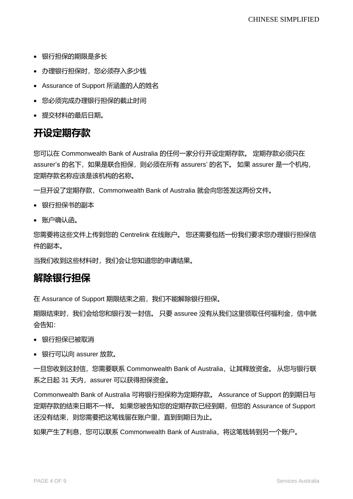- 银行担保的期限是多长
- 办理银行担保时,您必须存入多少钱
- Assurance of Support 所涵盖的人的姓名
- 您必须完成办理银行担保的截止时间
- 提交材料的最后日期。

## **开设定期存款**

您可以在 Commonwealth Bank of Australia 的任何一家分行开设定期存款。 定期存款必须只在 assurer's 的名下,如果是联合担保,则必须在所有 assurers' 的名下。 如果 assurer 是一个机构, 定期存款名称应该是该机构的名称。

- 一旦开设了定期存款,Commonwealth Bank of Australia 就会向您签发这两份文件。
- 银行担保书的副本
- 账户确认函。

您需要将这些文件上传到您的 Centrelink 在线账户。 您还需要包括一份我们要求您办理银行担保信 件的副本。

当我们收到这些材料时,我们会让您知道您的申请结果。

#### **解除银行担保**

在 Assurance of Support 期限结束之前,我们不能解除银行担保。

期限结束时,我们会给您和银行发一封信。 只要 assuree 没有从我们这里领取任何福利金,信中就 会告知:

- 银行担保已被取消
- 银行可以向 assurer 放款。

一旦您收到这封信,您需要联系 Commonwealth Bank of Australia,让其释放资金。 从您与银行联 系之日起 31 天内, assurer 可以获得担保资金。

Commonwealth Bank of Australia 可将银行担保称为定期存款。 Assurance of Support 的到期日与 定期存款的结束日期不一样。 如果您被告知您的定期存款已经到期,但您的 Assurance of Support 还没有结束,则您需要把这笔钱留在账户里,直到到期日为止。

如果产生了利息,您可以联系 Commonwealth Bank of Australia,将这笔钱转到另一个账户。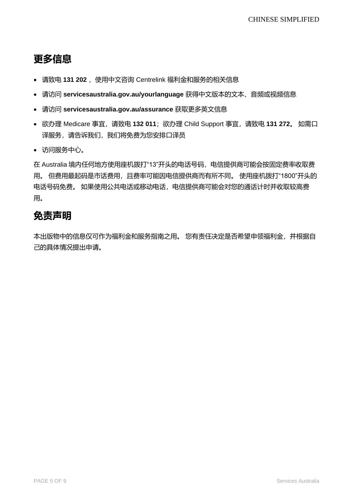# **更多信息**

- 请致电 131 202 , 使用中文咨询 Centrelink 福利金和服务的相关信息
- 请访问 **[servicesaustralia.gov.au/yourlanguage](http://humanservices.gov.au/yourlanguage)** 获得中文版本的文本、音频或视频信息
- 请访问 **servicesaustralia.gov.au/assurance** 获取更多英文信息
- 欲办理 Medicare 事宜,请致电 **132 011**;欲办理 Child Support 事宜,请致电 **131 272**。 如需口 译服务,请告诉我们,我们将免费为您安排口译员
- 访问服务中心。

在 Australia 境内任何地方使用座机拨打"13"开头的电话号码, 电信提供商可能会按固定费率收取费 用。 但费用最起码是市话费用,且费率可能因电信提供商而有所不同。 使用座机拨打"1800"开头的 电话号码免费。 如果使用公共电话或移动电话,电信提供商可能会对您的通话计时并收取较高费 用。

### **免责声明**

本出版物中的信息仅可作为福利金和服务指南之用。 您有责任决定是否希望申领福利金,并根据自 己的具体情况提出申请。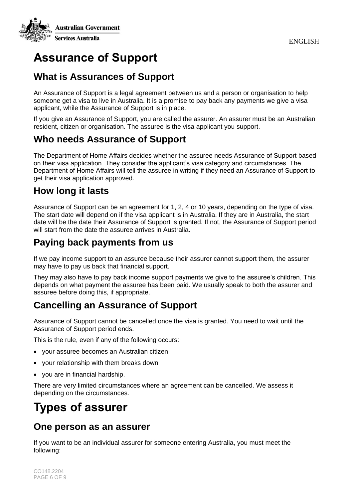

# **Assurance of Support**

#### **What is Assurances of Support**

An Assurance of Support is a legal agreement between us and a person or organisation to help someone get a visa to live in Australia. It is a promise to pay back any payments we give a visa applicant, while the Assurance of Support is in place.

If you give an Assurance of Support, you are called the assurer. An assurer must be an Australian resident, citizen or organisation. The assuree is the visa applicant you support.

#### **Who needs Assurance of Support**

The Department of Home Affairs decides whether the assuree needs Assurance of Support based on their visa application. They consider the applicant's visa category and circumstances. The Department of Home Affairs will tell the assuree in writing if they need an Assurance of Support to get their visa application approved.

#### **How long it lasts**

Assurance of Support can be an agreement for 1, 2, 4 or 10 years, depending on the type of visa. The start date will depend on if the visa applicant is in Australia. If they are in Australia, the start date will be the date their Assurance of Support is granted. If not, the Assurance of Support period will start from the date the assuree arrives in Australia.

### **Paying back payments from us**

If we pay income support to an assuree because their assurer cannot support them, the assurer may have to pay us back that financial support.

They may also have to pay back income support payments we give to the assuree's children. This depends on what payment the assuree has been paid. We usually speak to both the assurer and assuree before doing this, if appropriate.

### **Cancelling an Assurance of Support**

Assurance of Support cannot be cancelled once the visa is granted. You need to wait until the Assurance of Support period ends.

This is the rule, even if any of the following occurs:

- your assuree becomes an Australian citizen
- your relationship with them breaks down
- you are in financial hardship.

There are very limited circumstances where an agreement can be cancelled. We assess it depending on the circumstances.

# **Types of assurer**

#### **One person as an assurer**

If you want to be an individual assurer for someone entering Australia, you must meet the following: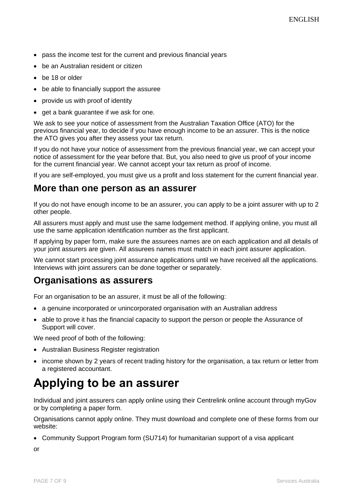- pass the income test for the current and previous financial years
- be an Australian resident or citizen
- be 18 or older
- be able to financially support the assuree
- provide us with proof of identity
- get a bank guarantee if we ask for one.

We ask to see your notice of assessment from the Australian Taxation Office (ATO) for the previous financial year, to decide if you have enough income to be an assurer. This is the notice the ATO gives you after they assess your tax return.

If you do not have your notice of assessment from the previous financial year, we can accept your notice of assessment for the year before that. But, you also need to give us proof of your income for the current financial year. We cannot accept your tax return as proof of income.

If you are self-employed, you must give us a profit and loss statement for the current financial year.

#### **More than one person as an assurer**

If you do not have enough income to be an assurer, you can apply to be a joint assurer with up to 2 other people.

All assurers must apply and must use the same lodgement method. If applying online, you must all use the same application identification number as the first applicant.

If applying by paper form, make sure the assurees names are on each application and all details of your joint assurers are given. All assurees names must match in each joint assurer application.

We cannot start processing joint assurance applications until we have received all the applications. Interviews with joint assurers can be done together or separately.

#### **Organisations as assurers**

For an organisation to be an assurer, it must be all of the following:

- a genuine incorporated or unincorporated organisation with an Australian address
- able to prove it has the financial capacity to support the person or people the Assurance of Support will cover.

We need proof of both of the following:

- Australian Business Register registration
- income shown by 2 years of recent trading history for the organisation, a tax return or letter from a registered accountant.

# **Applying to be an assurer**

Individual and joint assurers can apply online using their Centrelink online account through myGov or by completing a paper form.

Organisations cannot apply online. They must download and complete one of these forms from our website:

• Community Support Program form (SU714) for humanitarian support of a visa applicant

or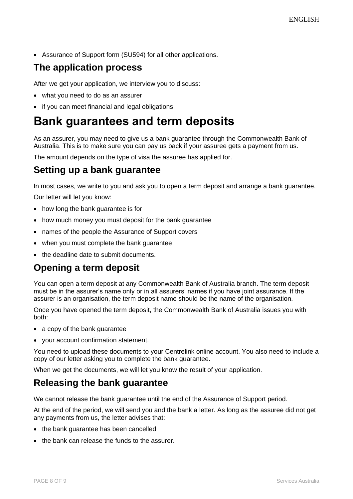• Assurance of Support form (SU594) for all other applications.

### **The application process**

After we get your application, we interview you to discuss:

- what you need to do as an assurer
- if you can meet financial and legal obligations.

## **Bank guarantees and term deposits**

As an assurer, you may need to give us a [bank guarantee](https://www.servicesaustralia.gov.au/bank-guarantee-for-assurance-support?context=22051) through the Commonwealth Bank of Australia. This is to make sure you can pay us back if your assuree gets a payment from us.

The amount depends on the type of visa the assuree has applied for.

#### **Setting up a bank guarantee**

In most cases, we write to you and ask you to open a term deposit and arrange a bank guarantee.

Our letter will let you know:

- how long the bank guarantee is for
- how much money you must deposit for the bank guarantee
- names of the people the Assurance of Support covers
- when you must complete the bank guarantee
- the deadline date to submit documents.

#### **Opening a term deposit**

You can open a term deposit at any Commonwealth Bank of Australia branch. The term deposit must be in the assurer's name only or in all assurers' names if you have joint assurance. If the assurer is an organisation, the term deposit name should be the name of the organisation.

Once you have opened the term deposit, the Commonwealth Bank of Australia issues you with both:

- a copy of the bank guarantee
- your account confirmation statement.

You need to upload these documents to your Centrelink online account. You also need to include a copy of our letter asking you to complete the bank guarantee.

When we get the documents, we will let you know the result of your application.

#### **Releasing the bank guarantee**

We cannot release the bank guarantee until the end of the Assurance of Support period.

At the end of the period, we will send you and the bank a letter. As long as the assuree did not get any payments from us, the letter advises that:

- the bank guarantee has been cancelled
- the bank can release the funds to the assurer.